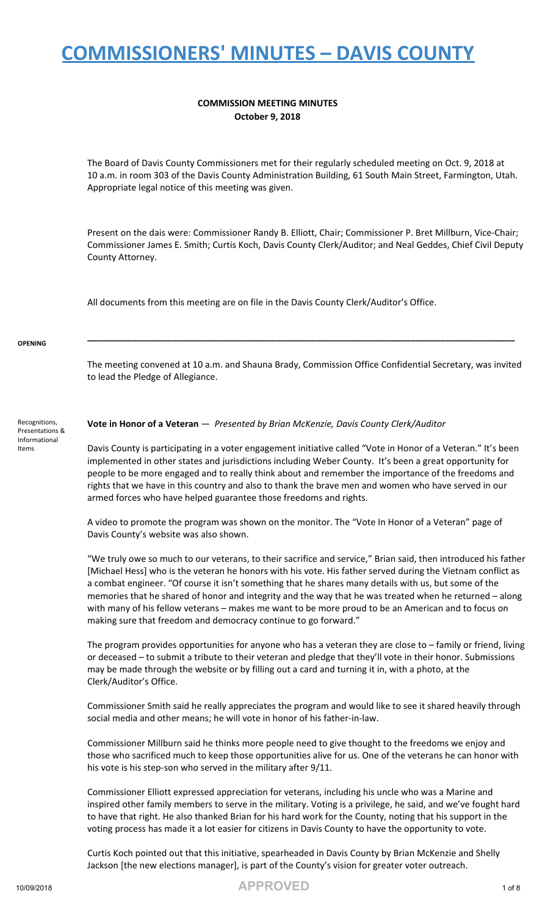#### **COMMISSION MEETING MINUTES October 9, 2018**

The Board of Davis County Commissioners met for their regularly scheduled meeting on Oct. 9, 2018 at 10 a.m. in room 303 of the Davis County Administration Building, 61 South Main Street, Farmington, Utah. Appropriate legal notice of this meeting was given.

Present on the dais were: Commissioner Randy B. Elliott, Chair; Commissioner P. Bret Millburn, Vice-Chair; Commissioner James E. Smith; Curtis Koch, Davis County Clerk/Auditor; and Neal Geddes, Chief Civil Deputy County Attorney.

All documents from this meeting are on file in the Davis County Clerk/Auditor's Office.

#### **OPENING**

The meeting convened at 10 a.m. and Shauna Brady, Commission Office Confidential Secretary, was invited to lead the Pledge of Allegiance.

**\_\_\_\_\_\_\_\_\_\_\_\_\_\_\_\_\_\_\_\_\_\_\_\_\_\_\_\_\_\_\_\_\_\_\_\_\_\_\_\_\_\_\_\_\_\_\_\_\_\_\_\_\_\_\_\_\_\_\_\_\_\_\_\_\_\_\_\_\_\_\_\_\_\_\_\_\_\_\_\_\_\_\_\_\_\_**

#### Recognitions, Presentations & Informational Items

**Vote in Honor of a Veteran** — *Presented by Brian McKenzie, Davis County Clerk/Auditor*

Davis County is participating in a voter engagement initiative called "Vote in Honor of a Veteran." It's been implemented in other states and jurisdictions including Weber County. It's been a great opportunity for people to be more engaged and to really think about and remember the importance of the freedoms and rights that we have in this country and also to thank the brave men and women who have served in our armed forces who have helped guarantee those freedoms and rights.

A video to promote the program was shown on the monitor. The "Vote In Honor of a Veteran" page of Davis County's website was also shown.

"We truly owe so much to our veterans, to their sacrifice and service," Brian said, then introduced his father [Michael Hess] who is the veteran he honors with his vote. His father served during the Vietnam conflict as a combat engineer. "Of course it isn't something that he shares many details with us, but some of the memories that he shared of honor and integrity and the way that he was treated when he returned – along with many of his fellow veterans – makes me want to be more proud to be an American and to focus on making sure that freedom and democracy continue to go forward."

The program provides opportunities for anyone who has a veteran they are close to – family or friend, living or deceased – to submit a tribute to their veteran and pledge that they'll vote in their honor. Submissions may be made through the website or by filling out a card and turning it in, with a photo, at the Clerk/Auditor's Office.

Commissioner Smith said he really appreciates the program and would like to see it shared heavily through social media and other means; he will vote in honor of his father-in-law.

Commissioner Millburn said he thinks more people need to give thought to the freedoms we enjoy and those who sacrificed much to keep those opportunities alive for us. One of the veterans he can honor with his vote is his step-son who served in the military after 9/11.

Commissioner Elliott expressed appreciation for veterans, including his uncle who was a Marine and inspired other family members to serve in the military. Voting is a privilege, he said, and we've fought hard to have that right. He also thanked Brian for his hard work for the County, noting that his support in the voting process has made it a lot easier for citizens in Davis County to have the opportunity to vote.

Curtis Koch pointed out that this initiative, spearheaded in Davis County by Brian McKenzie and Shelly Jackson [the new elections manager], is part of the County's vision for greater voter outreach.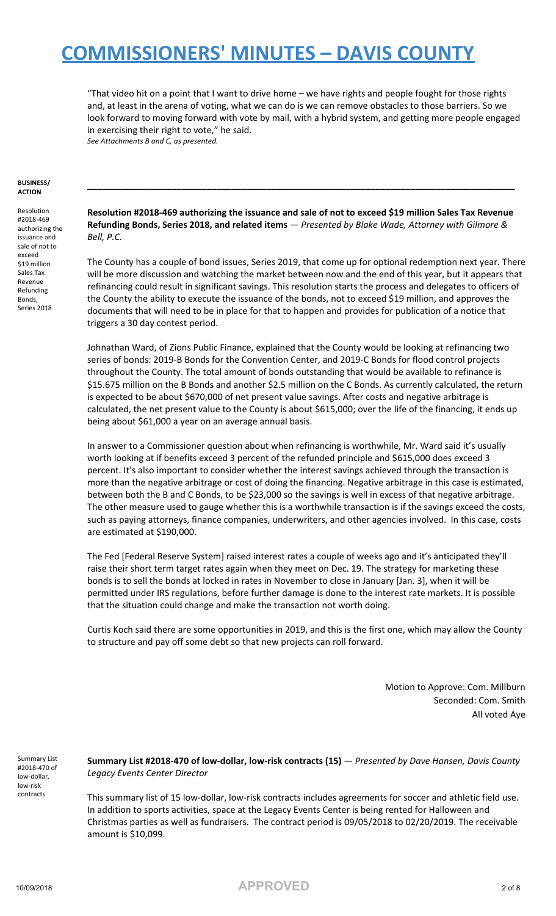"That video hit on a point that I want to drive home – we have rights and people fought for those rights and, at least in the arena of voting, what we can do is we can remove obstacles to those barriers. So we look forward to moving forward with vote by mail, with a hybrid system, and getting more people engaged in exercising their right to vote," he said. *See Attachments B and C, as presented.*

#### **BUSINESS/ ACTION**

Resolution #2018-469 authorizing the issuance and sale of not to exceed \$19 million Sales Tax Revenue Refunding Bonds, Series 2018

**Resolution #2018-469 authorizing the issuance and sale of not to exceed \$19 million Sales Tax Revenue Refunding Bonds, Series 2018, and related items** — *Presented by Blake Wade, Attorney with Gilmore & Bell, P.C.*

**\_\_\_\_\_\_\_\_\_\_\_\_\_\_\_\_\_\_\_\_\_\_\_\_\_\_\_\_\_\_\_\_\_\_\_\_\_\_\_\_\_\_\_\_\_\_\_\_\_\_\_\_\_\_\_\_\_\_\_\_\_\_\_\_\_\_\_\_\_\_\_\_\_\_\_\_\_\_\_\_\_\_\_\_\_\_**

The County has a couple of bond issues, Series 2019, that come up for optional redemption next year. There will be more discussion and watching the market between now and the end of this year, but it appears that refinancing could result in significant savings. This resolution starts the process and delegates to officers of the County the ability to execute the issuance of the bonds, not to exceed \$19 million, and approves the documents that will need to be in place for that to happen and provides for publication of a notice that triggers a 30 day contest period.

Johnathan Ward, of Zions Public Finance, explained that the County would be looking at refinancing two series of bonds: 2019-B Bonds for the Convention Center, and 2019-C Bonds for flood control projects throughout the County. The total amount of bonds outstanding that would be available to refinance is \$15.675 million on the B Bonds and another \$2.5 million on the C Bonds. As currently calculated, the return is expected to be about \$670,000 of net present value savings. After costs and negative arbitrage is calculated, the net present value to the County is about \$615,000; over the life of the financing, it ends up being about \$61,000 a year on an average annual basis.

In answer to a Commissioner question about when refinancing is worthwhile, Mr. Ward said it's usually worth looking at if benefits exceed 3 percent of the refunded principle and \$615,000 does exceed 3 percent. It's also important to consider whether the interest savings achieved through the transaction is more than the negative arbitrage or cost of doing the financing. Negative arbitrage in this case is estimated, between both the B and C Bonds, to be \$23,000 so the savings is well in excess of that negative arbitrage. The other measure used to gauge whether this is a worthwhile transaction is if the savings exceed the costs, such as paying attorneys, finance companies, underwriters, and other agencies involved. In this case, costs are estimated at \$190,000.

The Fed [Federal Reserve System] raised interest rates a couple of weeks ago and it's anticipated they'll raise their short term target rates again when they meet on Dec. 19. The strategy for marketing these bonds is to sell the bonds at locked in rates in November to close in January [Jan. 3], when it will be permitted under IRS regulations, before further damage is done to the interest rate markets. It is possible that the situation could change and make the transaction not worth doing.

Curtis Koch said there are some opportunities in 2019, and this is the first one, which may allow the County to structure and pay off some debt so that new projects can roll forward.

> Motion to Approve: Com. Millburn Seconded: Com. Smith All voted Aye

Summary List #2018-470 of low-dollar, low-risk contracts

**Summary List #2018-470 of low-dollar, low-risk contracts (15)** — *Presented by Dave Hansen, Davis County Legacy Events Center Director*

This summary list of 15 low-dollar, low-risk contracts includes agreements for soccer and athletic field use. In addition to sports activities, space at the Legacy Events Center is being rented for Halloween and Christmas parties as well as fundraisers. The contract period is 09/05/2018 to 02/20/2019. The receivable amount is \$10,099.

10/09/2018 **APPROVED** <sup>2</sup> of <sup>8</sup>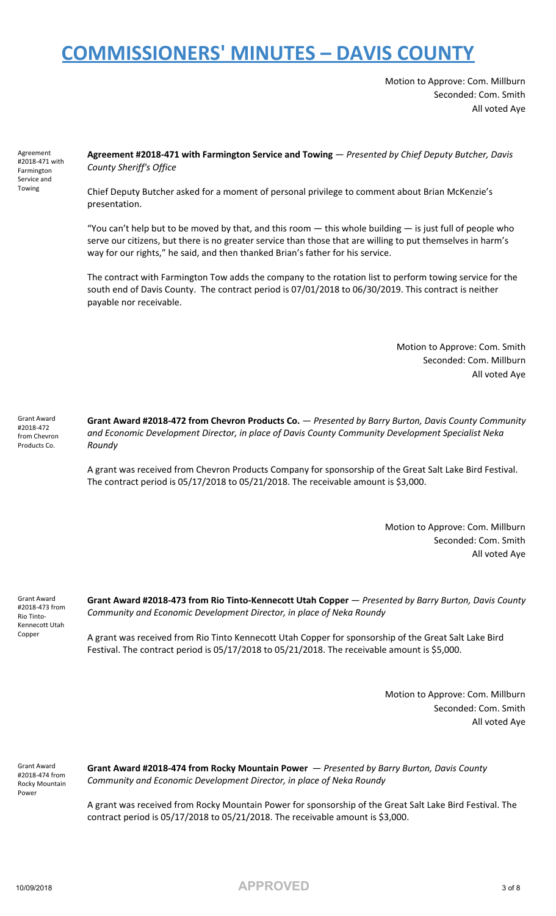Motion to Approve: Com. Millburn Seconded: Com. Smith All voted Aye

Agreement #2018-471 with Farmington Service and Towing

**Agreement #2018-471 with Farmington Service and Towing** — *Presented by Chief Deputy Butcher, Davis County Sheriff's Office*

Chief Deputy Butcher asked for a moment of personal privilege to comment about Brian McKenzie's presentation.

"You can't help but to be moved by that, and this room  $-$  this whole building  $-$  is just full of people who serve our citizens, but there is no greater service than those that are willing to put themselves in harm's way for our rights," he said, and then thanked Brian's father for his service.

The contract with Farmington Tow adds the company to the rotation list to perform towing service for the south end of Davis County. The contract period is 07/01/2018 to 06/30/2019. This contract is neither payable nor receivable.

> Motion to Approve: Com. Smith Seconded: Com. Millburn All voted Aye

Grant Award #2018-472 from Chevron Products Co.

**Grant Award #2018-472 from Chevron Products Co.** — *Presented by Barry Burton, Davis County Community and Economic Development Director, in place of Davis County Community Development Specialist Neka Roundy*

A grant was received from Chevron Products Company for sponsorship of the Great Salt Lake Bird Festival. The contract period is  $05/17/2018$  to  $05/21/2018$ . The receivable amount is \$3,000.

> Motion to Approve: Com. Millburn Seconded: Com. Smith All voted Aye

Grant Award #2018-473 from Rio Tinto-Kennecott Utah Copper

**Grant Award #2018-473 from Rio Tinto-Kennecott Utah Copper** — *Presented by Barry Burton, Davis County Community and Economic Development Director, in place of Neka Roundy*

A grant was received from Rio Tinto Kennecott Utah Copper for sponsorship of the Great Salt Lake Bird Festival. The contract period is 05/17/2018 to 05/21/2018. The receivable amount is \$5,000.

> Motion to Approve: Com. Millburn Seconded: Com. Smith All voted Aye

Grant Award #2018-474 from Rocky Mountain Power

**Grant Award #2018-474 from Rocky Mountain Power** — *Presented by Barry Burton, Davis County Community and Economic Development Director, in place of Neka Roundy*

A grant was received from Rocky Mountain Power for sponsorship of the Great Salt Lake Bird Festival. The contract period is 05/17/2018 to 05/21/2018. The receivable amount is \$3,000.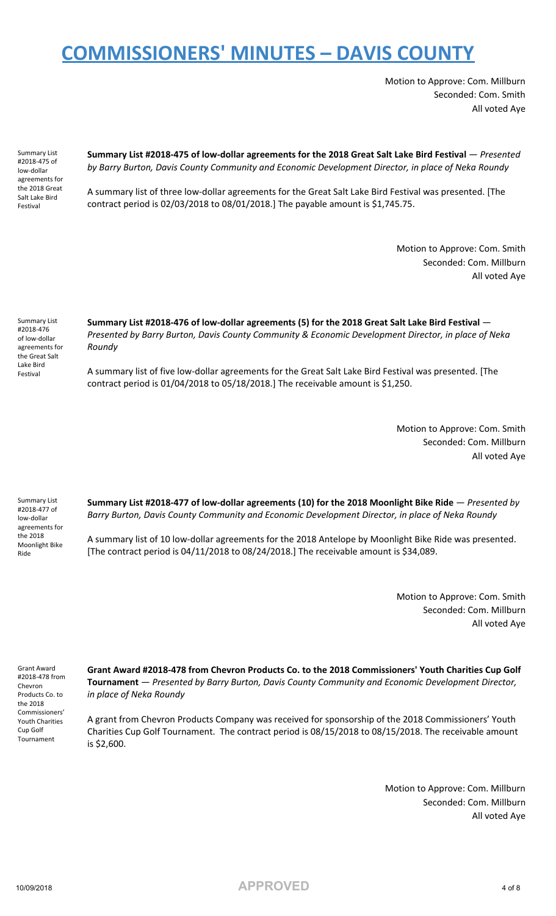Motion to Approve: Com. Millburn Seconded: Com. Smith All voted Aye

Summary List #2018-475 of low-dollar agreements for the 2018 Great Salt Lake Bird Festival

**Summary List #2018-475 of low-dollar agreements for the 2018 Great Salt Lake Bird Festival** — *Presented by Barry Burton, Davis County Community and Economic Development Director, in place of Neka Roundy*

A summary list of three low-dollar agreements for the Great Salt Lake Bird Festival was presented. [The contract period is 02/03/2018 to 08/01/2018.] The payable amount is \$1,745.75.

> Motion to Approve: Com. Smith Seconded: Com. Millburn All voted Aye

Summary List #2018-476 of low-dollar agreements for the Great Salt Lake Bird Festival

**Summary List #2018-476 of low-dollar agreements (5) for the 2018 Great Salt Lake Bird Festival** — *Presented by Barry Burton, Davis County Community & Economic Development Director, in place of Neka Roundy*

A summary list of five low-dollar agreements for the Great Salt Lake Bird Festival was presented. [The contract period is 01/04/2018 to 05/18/2018.] The receivable amount is \$1,250.

> Motion to Approve: Com. Smith Seconded: Com. Millburn All voted Aye

Summary List #2018-477 of low-dollar agreements for the 2018 Moonlight Bike Ride

**Summary List #2018-477 of low-dollar agreements (10) for the 2018 Moonlight Bike Ride** — *Presented by Barry Burton, Davis County Community and Economic Development Director, in place of Neka Roundy*

A summary list of 10 low-dollar agreements for the 2018 Antelope by Moonlight Bike Ride was presented. [The contract period is 04/11/2018 to 08/24/2018.] The receivable amount is \$34,089.

> Motion to Approve: Com. Smith Seconded: Com. Millburn All voted Aye

Grant Award #2018-478 from Chevron Products Co. to the 2018 Commissioners' Youth Charities Cup Golf Tournament

**Grant Award #2018-478 from Chevron Products Co. to the 2018 Commissioners' Youth Charities Cup Golf Tournament** — *Presented by Barry Burton, Davis County Community and Economic Development Director, in place of Neka Roundy*

A grant from Chevron Products Company was received for sponsorship of the 2018 Commissioners' Youth Charities Cup Golf Tournament. The contract period is 08/15/2018 to 08/15/2018. The receivable amount is \$2,600.

> Motion to Approve: Com. Millburn Seconded: Com. Millburn All voted Aye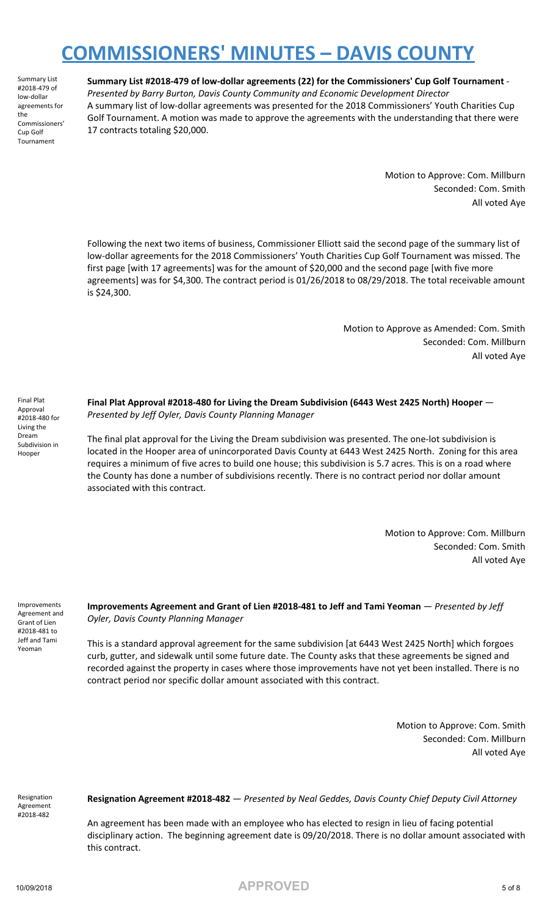Summary List #2018-479 of low-dollar agreements for the Commissioners' Cup Golf Tournament

**Summary List #2018-479 of low-dollar agreements (22) for the Commissioners' Cup Golf Tournament** - *Presented by Barry Burton, Davis County Community and Economic Development Director* A summary list of low-dollar agreements was presented for the 2018 Commissioners' Youth Charities Cup Golf Tournament. A motion was made to approve the agreements with the understanding that there were 17 contracts totaling \$20,000.

> Motion to Approve: Com. Millburn Seconded: Com. Smith All voted Aye

Following the next two items of business, Commissioner Elliott said the second page of the summary list of low-dollar agreements for the 2018 Commissioners' Youth Charities Cup Golf Tournament was missed. The first page [with 17 agreements] was for the amount of \$20,000 and the second page [with five more agreements] was for \$4,300. The contract period is 01/26/2018 to 08/29/2018. The total receivable amount is \$24,300.

> Motion to Approve as Amended: Com. Smith Seconded: Com. Millburn All voted Aye

Final Plat Approval #2018-480 for Living the Dream Subdivision in Hooper

**Final Plat Approval #2018-480 for Living the Dream Subdivision (6443 West 2425 North) Hooper** — *Presented by Jeff Oyler, Davis County Planning Manager*

The final plat approval for the Living the Dream subdivision was presented. The one-lot subdivision is located in the Hooper area of unincorporated Davis County at 6443 West 2425 North. Zoning for this area requires a minimum of five acres to build one house; this subdivision is 5.7 acres. This is on a road where the County has done a number of subdivisions recently. There is no contract period nor dollar amount associated with this contract.

> Motion to Approve: Com. Millburn Seconded: Com. Smith All voted Aye

Improvements Agreement and Grant of Lien #2018-481 to Jeff and Tami Yeoman

#### **Improvements Agreement and Grant of Lien #2018-481 to Jeff and Tami Yeoman** — *Presented by Jeff Oyler, Davis County Planning Manager*

This is a standard approval agreement for the same subdivision [at 6443 West 2425 North] which forgoes curb, gutter, and sidewalk until some future date. The County asks that these agreements be signed and recorded against the property in cases where those improvements have not yet been installed. There is no contract period nor specific dollar amount associated with this contract.

> Motion to Approve: Com. Smith Seconded: Com. Millburn All voted Aye

Resignation Agreement #2018-482

**Resignation Agreement #2018-482** — *Presented by Neal Geddes, Davis County Chief Deputy Civil Attorney*

An agreement has been made with an employee who has elected to resign in lieu of facing potential disciplinary action. The beginning agreement date is 09/20/2018. There is no dollar amount associated with this contract.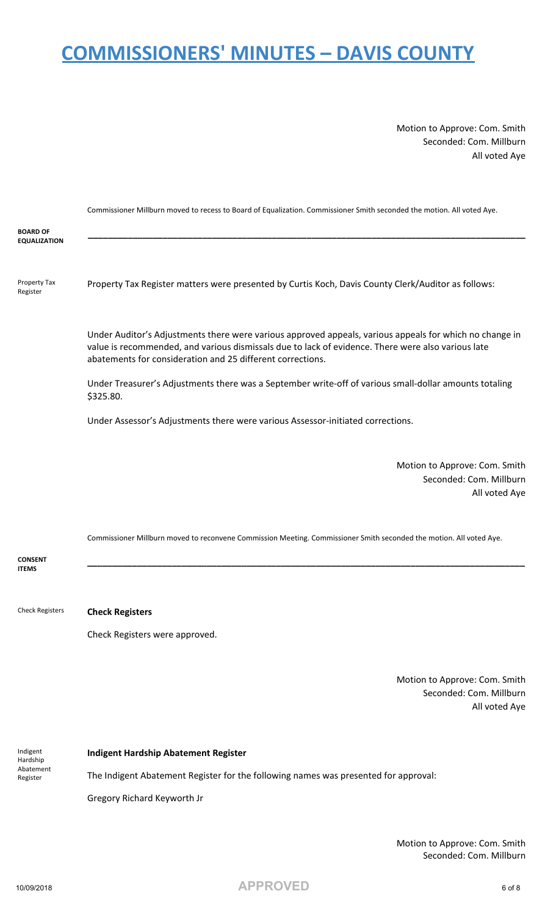Motion to Approve: Com. Smith Seconded: Com. Millburn All voted Aye

|                                        | Commissioner Millburn moved to recess to Board of Equalization. Commissioner Smith seconded the motion. All voted Aye.                                                                                                                                                      |
|----------------------------------------|-----------------------------------------------------------------------------------------------------------------------------------------------------------------------------------------------------------------------------------------------------------------------------|
| <b>BOARD OF</b><br><b>EQUALIZATION</b> |                                                                                                                                                                                                                                                                             |
| Property Tax<br>Register               | Property Tax Register matters were presented by Curtis Koch, Davis County Clerk/Auditor as follows:                                                                                                                                                                         |
|                                        | Under Auditor's Adjustments there were various approved appeals, various appeals for which no change in<br>value is recommended, and various dismissals due to lack of evidence. There were also various late<br>abatements for consideration and 25 different corrections. |
|                                        | Under Treasurer's Adjustments there was a September write-off of various small-dollar amounts totaling<br>\$325.80.                                                                                                                                                         |
|                                        | Under Assessor's Adjustments there were various Assessor-initiated corrections.                                                                                                                                                                                             |
|                                        | Motion to Approve: Com. Smith<br>Seconded: Com. Millburn<br>All voted Aye                                                                                                                                                                                                   |
|                                        | Commissioner Millburn moved to reconvene Commission Meeting. Commissioner Smith seconded the motion. All voted Aye.                                                                                                                                                         |
| <b>CONSENT</b><br><b>ITEMS</b>         |                                                                                                                                                                                                                                                                             |
| <b>Check Registers</b>                 | <b>Check Registers</b>                                                                                                                                                                                                                                                      |
|                                        | Check Registers were approved.                                                                                                                                                                                                                                              |
|                                        |                                                                                                                                                                                                                                                                             |

Motion to Approve: Com. Smith Seconded: Com. Millburn All voted Aye

Indigent Hardship Abatement Register

#### **Indigent Hardship Abatement Register**

The Indigent Abatement Register for the following names was presented for approval:

Gregory Richard Keyworth Jr

Motion to Approve: Com. Smith Seconded: Com. Millburn

10/09/2018 **APPROVED** <sup>6</sup> of <sup>8</sup>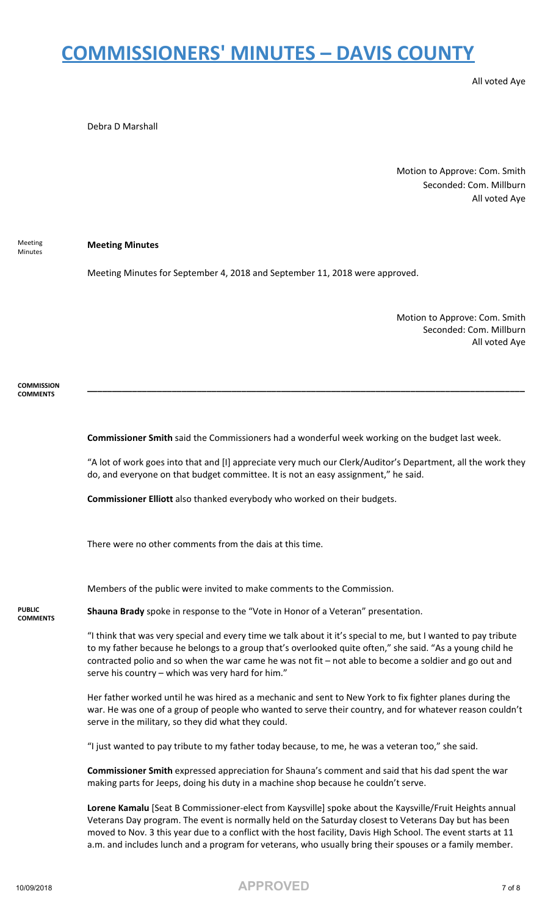All voted Aye

Debra D Marshall

Motion to Approve: Com. Smith Seconded: Com. Millburn All voted Aye

Meeting Minutes **Meeting Minutes**

Meeting Minutes for September 4, 2018 and September 11, 2018 were approved.

Motion to Approve: Com. Smith Seconded: Com. Millburn All voted Aye

**COMMISSION COMMENTS**

**Commissioner Smith** said the Commissioners had a wonderful week working on the budget last week.

"A lot of work goes into that and [I] appreciate very much our Clerk/Auditor's Department, all the work they do, and everyone on that budget committee. It is not an easy assignment," he said.

**\_\_\_\_\_\_\_\_\_\_\_\_\_\_\_\_\_\_\_\_\_\_\_\_\_\_\_\_\_\_\_\_\_\_\_\_\_\_\_\_\_\_\_\_\_\_\_\_\_\_\_\_\_\_\_\_\_\_\_\_\_\_\_\_\_\_\_\_\_\_\_\_\_\_\_\_\_\_\_\_\_\_\_\_\_\_\_\_**

**Commissioner Elliott** also thanked everybody who worked on their budgets.

There were no other comments from the dais at this time.

Members of the public were invited to make comments to the Commission.

**PUBLIC COMMENTS**

**Shauna Brady** spoke in response to the "Vote in Honor of a Veteran" presentation.

"I think that was very special and every time we talk about it it's special to me, but I wanted to pay tribute to my father because he belongs to a group that's overlooked quite often," she said. "As a young child he contracted polio and so when the war came he was not fit – not able to become a soldier and go out and serve his country – which was very hard for him."

Her father worked until he was hired as a mechanic and sent to New York to fix fighter planes during the war. He was one of a group of people who wanted to serve their country, and for whatever reason couldn't serve in the military, so they did what they could.

"I just wanted to pay tribute to my father today because, to me, he was a veteran too," she said.

**Commissioner Smith** expressed appreciation for Shauna's comment and said that his dad spent the war making parts for Jeeps, doing his duty in a machine shop because he couldn't serve.

**Lorene Kamalu** [Seat B Commissioner-elect from Kaysville] spoke about the Kaysville/Fruit Heights annual Veterans Day program. The event is normally held on the Saturday closest to Veterans Day but has been moved to Nov. 3 this year due to a conflict with the host facility, Davis High School. The event starts at 11 a.m. and includes lunch and a program for veterans, who usually bring their spouses or a family member.